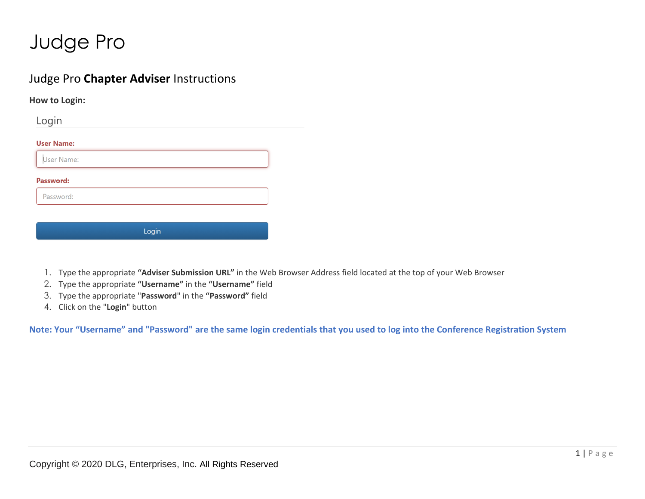#### Judge Pro **Chapter Adviser** Instructions

**How to Login:**

Login

**User Name:** 

User Name:

**Password:** 

Password:

Login

- 1. Type the appropriate **"Adviser Submission URL"** in the Web Browser Address field located at the top of your Web Browser
- 2. Type the appropriate **"Username"** in the **"Username"** field
- 3. Type the appropriate "**Password**" in the **"Password"** field
- 4. Click on the "**Login**" button

**Note: Your "Username" and "Password" are the same login credentials that you used to log into the Conference Registration System**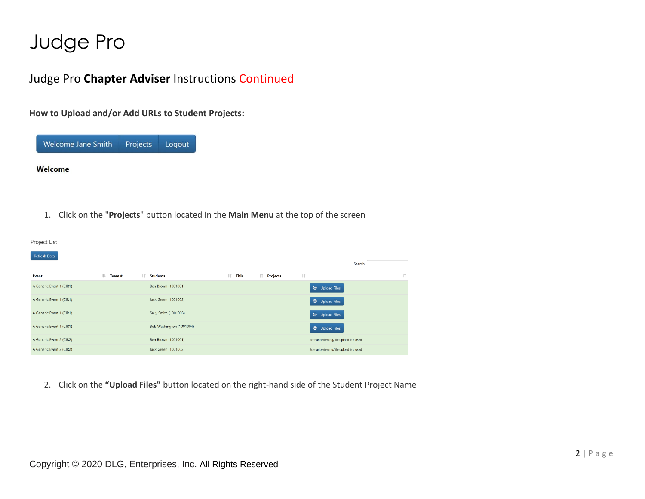### Judge Pro **Chapter Adviser** Instructions Continued

**How to Upload and/or Add URLs to Student Projects:**



Welcome

1. Click on the "**Projects**" button located in the **Main Menu** at the top of the screen

| Project List             |              |     |                          |            |            |                |                                        |    |
|--------------------------|--------------|-----|--------------------------|------------|------------|----------------|----------------------------------------|----|
| Refresh Data             |              |     |                          |            |            |                | Search:                                |    |
| Event                    | ΙL<br>Team # | Jî. | <b>Students</b>          | $\ $ Title | I Projects | $\downarrow$ î |                                        | Jî |
| A Generic Event 1 (CIR1) |              |     | Ben Brown (1001001)      |            |            |                | <b><i>O</i></b> Upload Files           |    |
| A Generic Event 1 (CIR1) |              |     | Jack Green (1001002)     |            |            |                |                                        |    |
|                          |              |     |                          |            |            |                | <b>1</b> Upload Files                  |    |
| A Generic Event 1 (CIR1) |              |     | Sally Smith (1001003)    |            |            |                | <b><i>O</i></b> Upload Files           |    |
| A Generic Event 1 (CIR1) |              |     | Bob Washington (1001004) |            |            |                | <b>1</b> Upload Files                  |    |
| A Generic Event 2 (CIR2) |              |     | Ben Brown (1001001)      |            |            |                | Scenario viewing/file upload is closed |    |
| A Generic Event 2 (CIR2) |              |     | Jack Green (1001002)     |            |            |                | Scenario viewing/file upload is closed |    |

2. Click on the **"Upload Files"** button located on the right-hand side of the Student Project Name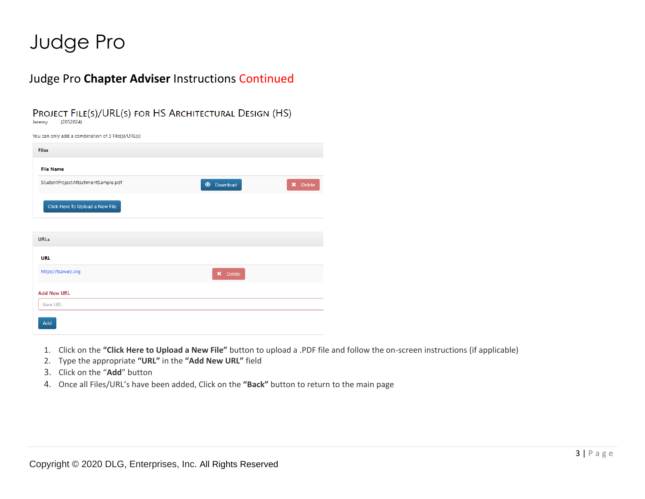**March 1999**, The Company of the Company of the Company of the Company of the Company of the Company of the Company of the Company of the Company of the Company of the Company of the Company of the Company of the Company o

### Judge Pro **Chapter Adviser** Instructions Continued

PROJECT FILE(S)/URL(S) FOR HS ARCHITECTURAL DESIGN (HS)

Jeremy  $(2052024)$ 

| You can only add a combination of 3 File(s)/UKL(s) |                   |          |
|----------------------------------------------------|-------------------|----------|
| <b>Files</b>                                       |                   |          |
| <b>File Name</b>                                   |                   |          |
| StudentProjectAttachmentSample.pdf                 | <b>1</b> Download | X Delete |
| Click Here To Upload a New File                    |                   |          |
|                                                    |                   |          |
| <b>URLs</b>                                        |                   |          |
| <b>URL</b>                                         |                   |          |
| https://tsaweb.org                                 | X Delete          |          |
| <b>Add New URL</b>                                 |                   |          |
| <b>New URL</b>                                     |                   |          |
| Add                                                |                   |          |

- 1. Click on the **"Click Here to Upload a New File"** button to upload a .PDF file and follow the on-screen instructions (if applicable)
- 2. Type the appropriate **"URL"** in the **"Add New URL"** field
- 3. Click on the "**Add**" button
- 4. Once all Files/URL's have been added, Click on the **"Back"** button to return to the main page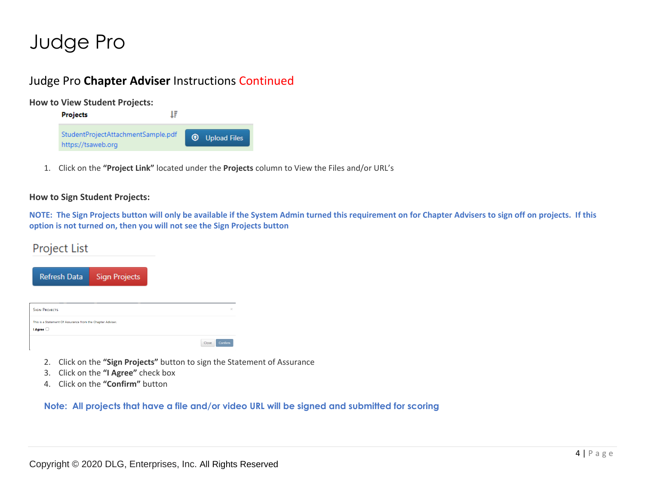### Judge Pro **Chapter Adviser** Instructions Continued

**How to View Student Projects:**



1. Click on the **"Project Link"** located under the **Projects** column to View the Files and/or URL's

#### **How to Sign Student Projects:**

**NOTE: The Sign Projects button will only be available if the System Admin turned this requirement on for Chapter Advisers to sign off on projects. If this option is not turned on, then you will not see the Sign Projects button**

#### Project List

| <b>SIGN PROJECTS</b><br>This is a Statement Of Assurance from the Chapter Adviser. | <b>Refresh Data</b> | <b>Sign Projects</b> |  |
|------------------------------------------------------------------------------------|---------------------|----------------------|--|
|                                                                                    |                     |                      |  |
|                                                                                    |                     |                      |  |

- 2. Click on the **"Sign Projects"** button to sign the Statement of Assurance
- 3. Click on the **"I Agree"** check box
- 4. Click on the **"Confirm"** button

**Note: All projects that have a file and/or video URL will be signed and submitted for scoring**